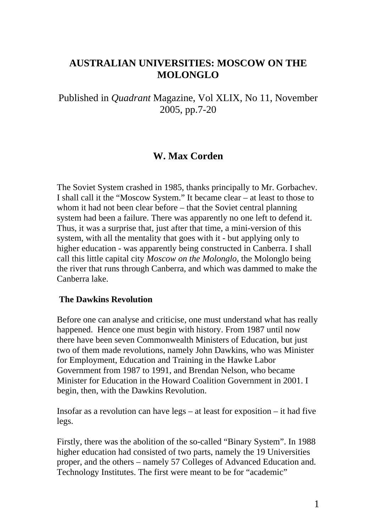# **AUSTRALIAN UNIVERSITIES: MOSCOW ON THE MOLONGLO**

Published in *Quadrant* Magazine, Vol XLIX, No 11, November 2005, pp.7-20

## **W. Max Corden**

The Soviet System crashed in 1985, thanks principally to Mr. Gorbachev. I shall call it the "Moscow System." It became clear – at least to those to whom it had not been clear before – that the Soviet central planning system had been a failure. There was apparently no one left to defend it. Thus, it was a surprise that, just after that time, a mini-version of this system, with all the mentality that goes with it - but applying only to higher education - was apparently being constructed in Canberra. I shall call this little capital city *Moscow on the Molonglo,* the Molonglo being the river that runs through Canberra, and which was dammed to make the Canberra lake.

#### **The Dawkins Revolution**

Before one can analyse and criticise, one must understand what has really happened. Hence one must begin with history. From 1987 until now there have been seven Commonwealth Ministers of Education, but just two of them made revolutions, namely John Dawkins, who was Minister for Employment, Education and Training in the Hawke Labor Government from 1987 to 1991, and Brendan Nelson, who became Minister for Education in the Howard Coalition Government in 2001. I begin, then, with the Dawkins Revolution.

Insofar as a revolution can have legs – at least for exposition – it had five legs.

Firstly, there was the abolition of the so-called "Binary System". In 1988 higher education had consisted of two parts, namely the 19 Universities proper, and the others – namely 57 Colleges of Advanced Education and. Technology Institutes. The first were meant to be for "academic"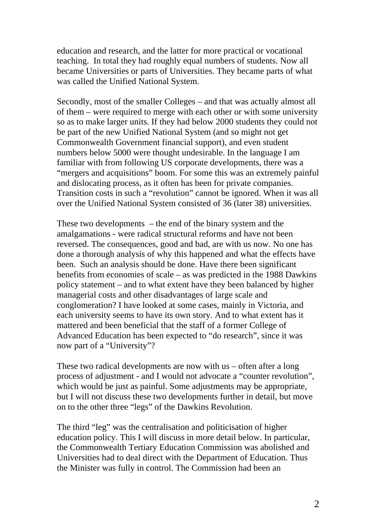education and research, and the latter for more practical or vocational teaching. In total they had roughly equal numbers of students. Now all became Universities or parts of Universities. They became parts of what was called the Unified National System.

Secondly, most of the smaller Colleges – and that was actually almost all of them – were required to merge with each other or with some university so as to make larger units. If they had below 2000 students they could not be part of the new Unified National System (and so might not get Commonwealth Government financial support), and even student numbers below 5000 were thought undesirable. In the language I am familiar with from following US corporate developments, there was a "mergers and acquisitions" boom. For some this was an extremely painful and dislocating process, as it often has been for private companies. Transition costs in such a "revolution" cannot be ignored. When it was all over the Unified National System consisted of 36 (later 38) universities.

These two developments – the end of the binary system and the amalgamations - were radical structural reforms and have not been reversed. The consequences, good and bad, are with us now. No one has done a thorough analysis of why this happened and what the effects have been. Such an analysis should be done. Have there been significant benefits from economies of scale – as was predicted in the 1988 Dawkins policy statement – and to what extent have they been balanced by higher managerial costs and other disadvantages of large scale and conglomeration? I have looked at some cases, mainly in Victoria, and each university seems to have its own story. And to what extent has it mattered and been beneficial that the staff of a former College of Advanced Education has been expected to "do research", since it was now part of a "University"?

These two radical developments are now with us – often after a long process of adjustment - and I would not advocate a "counter revolution", which would be just as painful. Some adjustments may be appropriate, but I will not discuss these two developments further in detail, but move on to the other three "legs" of the Dawkins Revolution.

The third "leg" was the centralisation and politicisation of higher education policy. This I will discuss in more detail below. In particular, the Commonwealth Tertiary Education Commission was abolished and Universities had to deal direct with the Department of Education. Thus the Minister was fully in control. The Commission had been an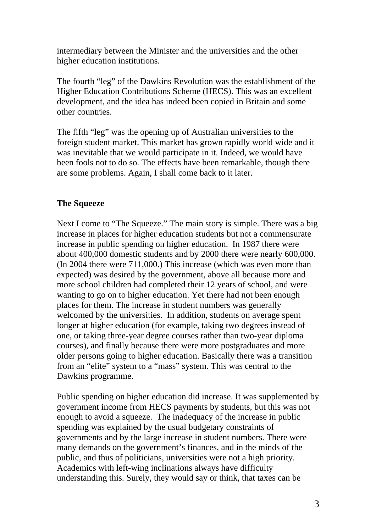intermediary between the Minister and the universities and the other higher education institutions.

The fourth "leg" of the Dawkins Revolution was the establishment of the Higher Education Contributions Scheme (HECS). This was an excellent development, and the idea has indeed been copied in Britain and some other countries.

The fifth "leg" was the opening up of Australian universities to the foreign student market. This market has grown rapidly world wide and it was inevitable that we would participate in it. Indeed, we would have been fools not to do so. The effects have been remarkable, though there are some problems. Again, I shall come back to it later.

### **The Squeeze**

Next I come to "The Squeeze." The main story is simple. There was a big increase in places for higher education students but not a commensurate increase in public spending on higher education. In 1987 there were about 400,000 domestic students and by 2000 there were nearly 600,000. (In 2004 there were 711,000.) This increase (which was even more than expected) was desired by the government, above all because more and more school children had completed their 12 years of school, and were wanting to go on to higher education. Yet there had not been enough places for them. The increase in student numbers was generally welcomed by the universities. In addition, students on average spent longer at higher education (for example, taking two degrees instead of one, or taking three-year degree courses rather than two-year diploma courses), and finally because there were more postgraduates and more older persons going to higher education. Basically there was a transition from an "elite" system to a "mass" system. This was central to the Dawkins programme.

Public spending on higher education did increase. It was supplemented by government income from HECS payments by students, but this was not enough to avoid a squeeze. The inadequacy of the increase in public spending was explained by the usual budgetary constraints of governments and by the large increase in student numbers. There were many demands on the government's finances, and in the minds of the public, and thus of politicians, universities were not a high priority. Academics with left-wing inclinations always have difficulty understanding this. Surely, they would say or think, that taxes can be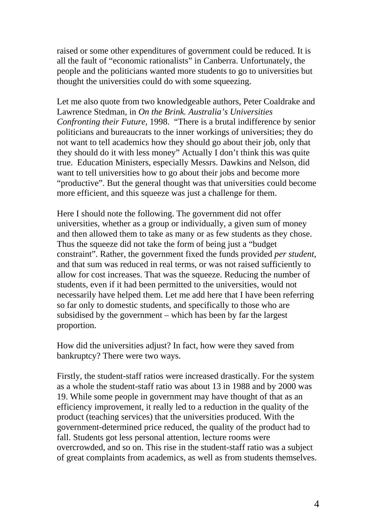raised or some other expenditures of government could be reduced. It is all the fault of "economic rationalists" in Canberra. Unfortunately, the people and the politicians wanted more students to go to universities but thought the universities could do with some squeezing.

Let me also quote from two knowledgeable authors, Peter Coaldrake and Lawrence Stedman, in *On the Brink. Australia's Universities Confronting their Future,* 1998. "There is a brutal indifference by senior politicians and bureaucrats to the inner workings of universities; they do not want to tell academics how they should go about their job, only that they should do it with less money" Actually I don't think this was quite true. Education Ministers, especially Messrs. Dawkins and Nelson, did want to tell universities how to go about their jobs and become more "productive". But the general thought was that universities could become more efficient, and this squeeze was just a challenge for them.

Here I should note the following. The government did not offer universities, whether as a group or individually, a given sum of money and then allowed them to take as many or as few students as they chose. Thus the squeeze did not take the form of being just a "budget constraint". Rather, the government fixed the funds provided *per student*, and that sum was reduced in real terms, or was not raised sufficiently to allow for cost increases. That was the squeeze. Reducing the number of students, even if it had been permitted to the universities, would not necessarily have helped them. Let me add here that I have been referring so far only to domestic students, and specifically to those who are subsidised by the government – which has been by far the largest proportion.

How did the universities adjust? In fact, how were they saved from bankruptcy? There were two ways.

Firstly, the student-staff ratios were increased drastically. For the system as a whole the student-staff ratio was about 13 in 1988 and by 2000 was 19. While some people in government may have thought of that as an efficiency improvement, it really led to a reduction in the quality of the product (teaching services) that the universities produced. With the government-determined price reduced, the quality of the product had to fall. Students got less personal attention, lecture rooms were overcrowded, and so on. This rise in the student-staff ratio was a subject of great complaints from academics, as well as from students themselves.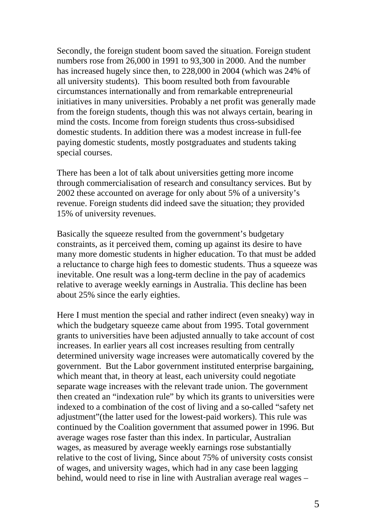Secondly, the foreign student boom saved the situation. Foreign student numbers rose from 26,000 in 1991 to 93,300 in 2000. And the number has increased hugely since then, to 228,000 in 2004 (which was 24% of all university students). This boom resulted both from favourable circumstances internationally and from remarkable entrepreneurial initiatives in many universities. Probably a net profit was generally made from the foreign students, though this was not always certain, bearing in mind the costs. Income from foreign students thus cross-subsidised domestic students. In addition there was a modest increase in full-fee paying domestic students, mostly postgraduates and students taking special courses.

There has been a lot of talk about universities getting more income through commercialisation of research and consultancy services. But by 2002 these accounted on average for only about 5% of a university's revenue. Foreign students did indeed save the situation; they provided 15% of university revenues.

Basically the squeeze resulted from the government's budgetary constraints, as it perceived them, coming up against its desire to have many more domestic students in higher education. To that must be added a reluctance to charge high fees to domestic students. Thus a squeeze was inevitable. One result was a long-term decline in the pay of academics relative to average weekly earnings in Australia. This decline has been about 25% since the early eighties.

Here I must mention the special and rather indirect (even sneaky) way in which the budgetary squeeze came about from 1995. Total government grants to universities have been adjusted annually to take account of cost increases. In earlier years all cost increases resulting from centrally determined university wage increases were automatically covered by the government. But the Labor government instituted enterprise bargaining, which meant that, in theory at least, each university could negotiate separate wage increases with the relevant trade union. The government then created an "indexation rule" by which its grants to universities were indexed to a combination of the cost of living and a so-called "safety net adjustment"(the latter used for the lowest-paid workers). This rule was continued by the Coalition government that assumed power in 1996. But average wages rose faster than this index. In particular, Australian wages, as measured by average weekly earnings rose substantially relative to the cost of living, Since about 75% of university costs consist of wages, and university wages, which had in any case been lagging behind, would need to rise in line with Australian average real wages –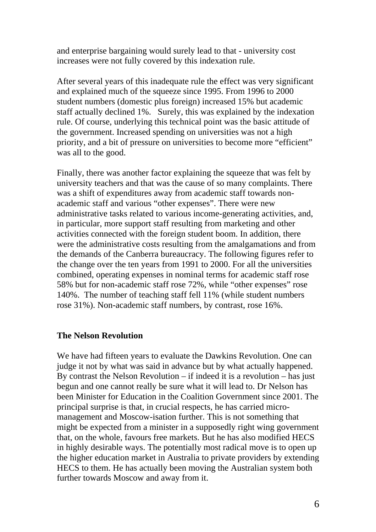and enterprise bargaining would surely lead to that - university cost increases were not fully covered by this indexation rule.

After several years of this inadequate rule the effect was very significant and explained much of the squeeze since 1995. From 1996 to 2000 student numbers (domestic plus foreign) increased 15% but academic staff actually declined 1%. Surely, this was explained by the indexation rule. Of course, underlying this technical point was the basic attitude of the government. Increased spending on universities was not a high priority, and a bit of pressure on universities to become more "efficient" was all to the good.

Finally, there was another factor explaining the squeeze that was felt by university teachers and that was the cause of so many complaints. There was a shift of expenditures away from academic staff towards nonacademic staff and various "other expenses". There were new administrative tasks related to various income-generating activities, and, in particular, more support staff resulting from marketing and other activities connected with the foreign student boom. In addition, there were the administrative costs resulting from the amalgamations and from the demands of the Canberra bureaucracy. The following figures refer to the change over the ten years from 1991 to 2000. For all the universities combined, operating expenses in nominal terms for academic staff rose 58% but for non-academic staff rose 72%, while "other expenses" rose 140%. The number of teaching staff fell 11% (while student numbers rose 31%). Non-academic staff numbers, by contrast, rose 16%.

#### **The Nelson Revolution**

We have had fifteen years to evaluate the Dawkins Revolution. One can judge it not by what was said in advance but by what actually happened. By contrast the Nelson Revolution – if indeed it is a revolution – has just begun and one cannot really be sure what it will lead to. Dr Nelson has been Minister for Education in the Coalition Government since 2001. The principal surprise is that, in crucial respects, he has carried micromanagement and Moscow-isation further. This is not something that might be expected from a minister in a supposedly right wing government that, on the whole, favours free markets. But he has also modified HECS in highly desirable ways. The potentially most radical move is to open up the higher education market in Australia to private providers by extending HECS to them. He has actually been moving the Australian system both further towards Moscow and away from it.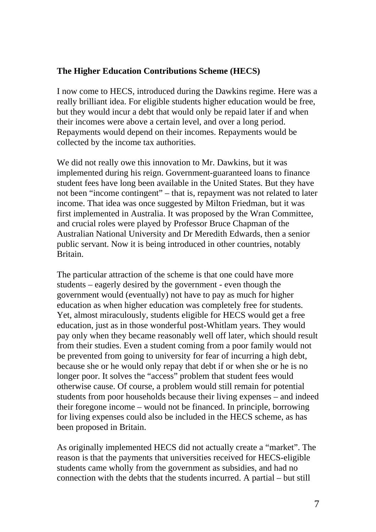### **The Higher Education Contributions Scheme (HECS)**

I now come to HECS, introduced during the Dawkins regime. Here was a really brilliant idea. For eligible students higher education would be free, but they would incur a debt that would only be repaid later if and when their incomes were above a certain level, and over a long period. Repayments would depend on their incomes. Repayments would be collected by the income tax authorities.

We did not really owe this innovation to Mr. Dawkins, but it was implemented during his reign. Government-guaranteed loans to finance student fees have long been available in the United States. But they have not been "income contingent" – that is, repayment was not related to later income. That idea was once suggested by Milton Friedman, but it was first implemented in Australia. It was proposed by the Wran Committee, and crucial roles were played by Professor Bruce Chapman of the Australian National University and Dr Meredith Edwards, then a senior public servant. Now it is being introduced in other countries, notably Britain.

The particular attraction of the scheme is that one could have more students – eagerly desired by the government - even though the government would (eventually) not have to pay as much for higher education as when higher education was completely free for students. Yet, almost miraculously, students eligible for HECS would get a free education, just as in those wonderful post-Whitlam years. They would pay only when they became reasonably well off later, which should result from their studies. Even a student coming from a poor family would not be prevented from going to university for fear of incurring a high debt, because she or he would only repay that debt if or when she or he is no longer poor. It solves the "access" problem that student fees would otherwise cause. Of course, a problem would still remain for potential students from poor households because their living expenses – and indeed their foregone income – would not be financed. In principle, borrowing for living expenses could also be included in the HECS scheme, as has been proposed in Britain.

As originally implemented HECS did not actually create a "market". The reason is that the payments that universities received for HECS-eligible students came wholly from the government as subsidies, and had no connection with the debts that the students incurred. A partial – but still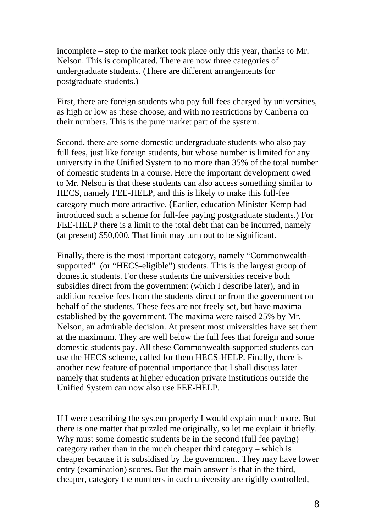incomplete – step to the market took place only this year, thanks to Mr. Nelson. This is complicated. There are now three categories of undergraduate students. (There are different arrangements for postgraduate students.)

First, there are foreign students who pay full fees charged by universities, as high or low as these choose, and with no restrictions by Canberra on their numbers. This is the pure market part of the system.

Second, there are some domestic undergraduate students who also pay full fees, just like foreign students, but whose number is limited for any university in the Unified System to no more than 35% of the total number of domestic students in a course. Here the important development owed to Mr. Nelson is that these students can also access something similar to HECS, namely FEE-HELP, and this is likely to make this full-fee category much more attractive. (Earlier, education Minister Kemp had introduced such a scheme for full-fee paying postgraduate students.) For FEE-HELP there is a limit to the total debt that can be incurred, namely (at present) \$50,000. That limit may turn out to be significant.

Finally, there is the most important category, namely "Commonwealthsupported" (or "HECS-eligible") students. This is the largest group of domestic students. For these students the universities receive both subsidies direct from the government (which I describe later), and in addition receive fees from the students direct or from the government on behalf of the students. These fees are not freely set, but have maxima established by the government. The maxima were raised 25% by Mr. Nelson, an admirable decision. At present most universities have set them at the maximum. They are well below the full fees that foreign and some domestic students pay. All these Commonwealth-supported students can use the HECS scheme, called for them HECS-HELP. Finally, there is another new feature of potential importance that I shall discuss later – namely that students at higher education private institutions outside the Unified System can now also use FEE-HELP.

If I were describing the system properly I would explain much more. But there is one matter that puzzled me originally, so let me explain it briefly. Why must some domestic students be in the second (full fee paying) category rather than in the much cheaper third category – which is cheaper because it is subsidised by the government. They may have lower entry (examination) scores. But the main answer is that in the third, cheaper, category the numbers in each university are rigidly controlled,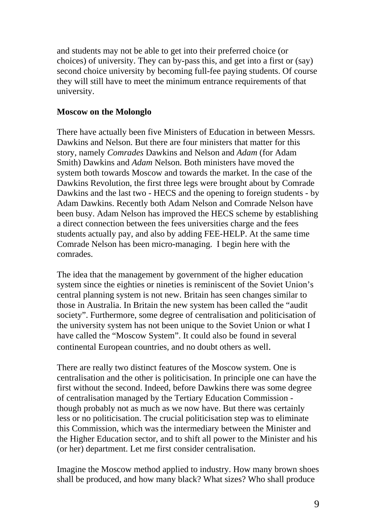and students may not be able to get into their preferred choice (or choices) of university. They can by-pass this, and get into a first or (say) second choice university by becoming full-fee paying students. Of course they will still have to meet the minimum entrance requirements of that university.

### **Moscow on the Molonglo**

There have actually been five Ministers of Education in between Messrs. Dawkins and Nelson. But there are four ministers that matter for this story, namely *Comrades* Dawkins and Nelson and *Adam* (for Adam Smith) Dawkins and *Adam* Nelson. Both ministers have moved the system both towards Moscow and towards the market. In the case of the Dawkins Revolution, the first three legs were brought about by Comrade Dawkins and the last two - HECS and the opening to foreign students - by Adam Dawkins. Recently both Adam Nelson and Comrade Nelson have been busy. Adam Nelson has improved the HECS scheme by establishing a direct connection between the fees universities charge and the fees students actually pay, and also by adding FEE-HELP. At the same time Comrade Nelson has been micro-managing. I begin here with the comrades.

The idea that the management by government of the higher education system since the eighties or nineties is reminiscent of the Soviet Union's central planning system is not new. Britain has seen changes similar to those in Australia. In Britain the new system has been called the "audit society". Furthermore, some degree of centralisation and politicisation of the university system has not been unique to the Soviet Union or what I have called the "Moscow System". It could also be found in several continental European countries, and no doubt others as well.

There are really two distinct features of the Moscow system. One is centralisation and the other is politicisation. In principle one can have the first without the second. Indeed, before Dawkins there was some degree of centralisation managed by the Tertiary Education Commission though probably not as much as we now have. But there was certainly less or no politicisation. The crucial politicisation step was to eliminate this Commission, which was the intermediary between the Minister and the Higher Education sector, and to shift all power to the Minister and his (or her) department. Let me first consider centralisation.

Imagine the Moscow method applied to industry. How many brown shoes shall be produced, and how many black? What sizes? Who shall produce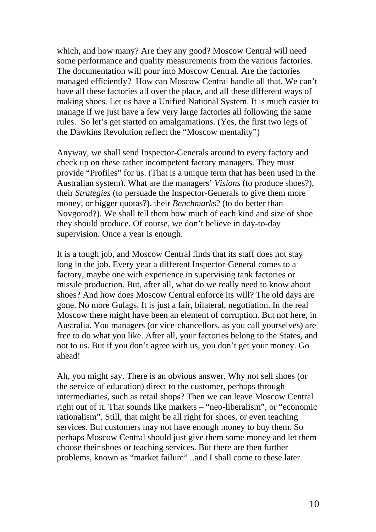which, and how many? Are they any good? Moscow Central will need some performance and quality measurements from the various factories. The documentation will pour into Moscow Central. Are the factories managed efficiently? How can Moscow Central handle all that. We can't have all these factories all over the place, and all these different ways of making shoes. Let us have a Unified National System. It is much easier to manage if we just have a few very large factories all following the same rules. So let's get started on amalgamations. (Yes, the first two legs of the Dawkins Revolution reflect the "Moscow mentality")

Anyway, we shall send Inspector-Generals around to every factory and check up on these rather incompetent factory managers. They must provide "Profiles" for us. (That is a unique term that has been used in the Australian system). What are the managers' *Visions* (to produce shoes?), their *Strategies* (to persuade the Inspector-Generals to give them more money, or bigger quotas?). their *Benchmark*s? (to do better than Novgorod?). We shall tell them how much of each kind and size of shoe they should produce. Of course, we don't believe in day-to-day supervision. Once a year is enough.

It is a tough job, and Moscow Central finds that its staff does not stay long in the job. Every year a different Inspector-General comes to a factory, maybe one with experience in supervising tank factories or missile production. But, after all, what do we really need to know about shoes? And how does Moscow Central enforce its will? The old days are gone. No more Gulags. It is just a fair, bilateral, negotiation. In the real Moscow there might have been an element of corruption. But not here, in Australia. You managers (or vice-chancellors, as you call yourselves) are free to do what you like. After all, your factories belong to the States, and not to us. But if you don't agree with us, you don't get your money. Go ahead!

Ah, you might say. There is an obvious answer. Why not sell shoes (or the service of education) direct to the customer, perhaps through intermediaries, such as retail shops? Then we can leave Moscow Central right out of it. That sounds like markets – "neo-liberalism", or "economic rationalism". Still, that might be all right for shoes, or even teaching services. But customers may not have enough money to buy them. So perhaps Moscow Central should just give them some money and let them choose their shoes or teaching services. But there are then further problems, known as "market failure" ..and I shall come to these later.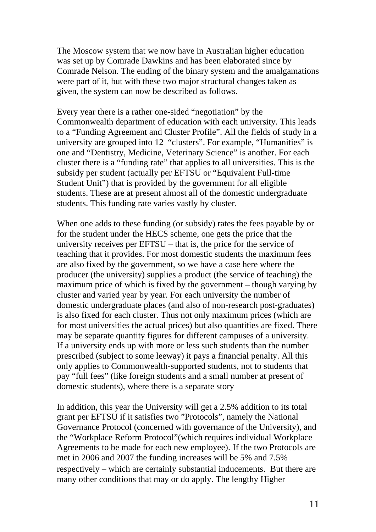The Moscow system that we now have in Australian higher education was set up by Comrade Dawkins and has been elaborated since by Comrade Nelson. The ending of the binary system and the amalgamations were part of it, but with these two major structural changes taken as given, the system can now be described as follows.

Every year there is a rather one-sided "negotiation" by the Commonwealth department of education with each university. This leads to a "Funding Agreement and Cluster Profile". All the fields of study in a university are grouped into 12 "clusters". For example, "Humanities" is one and "Dentistry, Medicine, Veterinary Science" is another. For each cluster there is a "funding rate" that applies to all universities. This is the subsidy per student (actually per EFTSU or "Equivalent Full-time Student Unit") that is provided by the government for all eligible students. These are at present almost all of the domestic undergraduate students. This funding rate varies vastly by cluster.

When one adds to these funding (or subsidy) rates the fees payable by or for the student under the HECS scheme, one gets the price that the university receives per EFTSU – that is, the price for the service of teaching that it provides. For most domestic students the maximum fees are also fixed by the government, so we have a case here where the producer (the university) supplies a product (the service of teaching) the maximum price of which is fixed by the government – though varying by cluster and varied year by year. For each university the number of domestic undergraduate places (and also of non-research post-graduates) is also fixed for each cluster. Thus not only maximum prices (which are for most universities the actual prices) but also quantities are fixed. There may be separate quantity figures for different campuses of a university. If a university ends up with more or less such students than the number prescribed (subject to some leeway) it pays a financial penalty. All this only applies to Commonwealth-supported students, not to students that pay "full fees" (like foreign students and a small number at present of domestic students), where there is a separate story

In addition, this year the University will get a 2.5% addition to its total grant per EFTSU if it satisfies two "Protocols", namely the National Governance Protocol (concerned with governance of the University), and the "Workplace Reform Protocol"(which requires individual Workplace Agreements to be made for each new employee). If the two Protocols are met in 2006 and 2007 the funding increases will be 5% and 7.5% respectively – which are certainly substantial inducements. But there are many other conditions that may or do apply. The lengthy Higher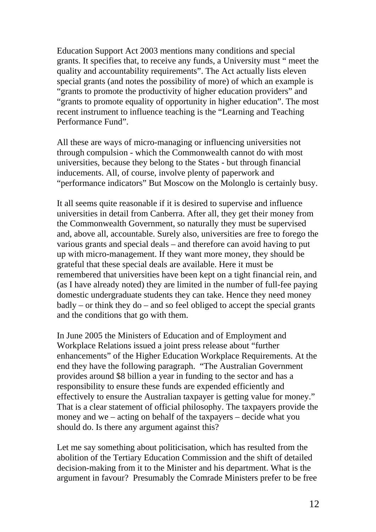Education Support Act 2003 mentions many conditions and special grants. It specifies that, to receive any funds, a University must " meet the quality and accountability requirements". The Act actually lists eleven special grants (and notes the possibility of more) of which an example is "grants to promote the productivity of higher education providers" and "grants to promote equality of opportunity in higher education". The most recent instrument to influence teaching is the "Learning and Teaching Performance Fund".

All these are ways of micro-managing or influencing universities not through compulsion - which the Commonwealth cannot do with most universities, because they belong to the States - but through financial inducements. All, of course, involve plenty of paperwork and "performance indicators" But Moscow on the Molonglo is certainly busy.

It all seems quite reasonable if it is desired to supervise and influence universities in detail from Canberra. After all, they get their money from the Commonwealth Government, so naturally they must be supervised and, above all, accountable. Surely also, universities are free to forego the various grants and special deals – and therefore can avoid having to put up with micro-management. If they want more money, they should be grateful that these special deals are available. Here it must be remembered that universities have been kept on a tight financial rein, and (as I have already noted) they are limited in the number of full-fee paying domestic undergraduate students they can take. Hence they need money badly – or think they do – and so feel obliged to accept the special grants and the conditions that go with them.

In June 2005 the Ministers of Education and of Employment and Workplace Relations issued a joint press release about "further enhancements" of the Higher Education Workplace Requirements. At the end they have the following paragraph. "The Australian Government provides around \$8 billion a year in funding to the sector and has a responsibility to ensure these funds are expended efficiently and effectively to ensure the Australian taxpayer is getting value for money." That is a clear statement of official philosophy. The taxpayers provide the money and we – acting on behalf of the taxpayers – decide what you should do. Is there any argument against this?

Let me say something about politicisation, which has resulted from the abolition of the Tertiary Education Commission and the shift of detailed decision-making from it to the Minister and his department. What is the argument in favour? Presumably the Comrade Ministers prefer to be free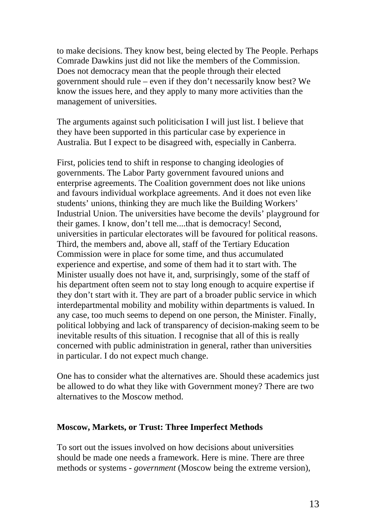to make decisions. They know best, being elected by The People. Perhaps Comrade Dawkins just did not like the members of the Commission. Does not democracy mean that the people through their elected government should rule – even if they don't necessarily know best? We know the issues here, and they apply to many more activities than the management of universities.

The arguments against such politicisation I will just list. I believe that they have been supported in this particular case by experience in Australia. But I expect to be disagreed with, especially in Canberra.

First, policies tend to shift in response to changing ideologies of governments. The Labor Party government favoured unions and enterprise agreements. The Coalition government does not like unions and favours individual workplace agreements. And it does not even like students' unions, thinking they are much like the Building Workers' Industrial Union. The universities have become the devils' playground for their games. I know, don't tell me....that is democracy! Second, universities in particular electorates will be favoured for political reasons. Third, the members and, above all, staff of the Tertiary Education Commission were in place for some time, and thus accumulated experience and expertise, and some of them had it to start with. The Minister usually does not have it, and, surprisingly, some of the staff of his department often seem not to stay long enough to acquire expertise if they don't start with it. They are part of a broader public service in which interdepartmental mobility and mobility within departments is valued. In any case, too much seems to depend on one person, the Minister. Finally, political lobbying and lack of transparency of decision-making seem to be inevitable results of this situation. I recognise that all of this is really concerned with public administration in general, rather than universities in particular. I do not expect much change.

One has to consider what the alternatives are. Should these academics just be allowed to do what they like with Government money? There are two alternatives to the Moscow method.

#### **Moscow, Markets, or Trust: Three Imperfect Methods**

To sort out the issues involved on how decisions about universities should be made one needs a framework. Here is mine. There are three methods or systems - *government* (Moscow being the extreme version),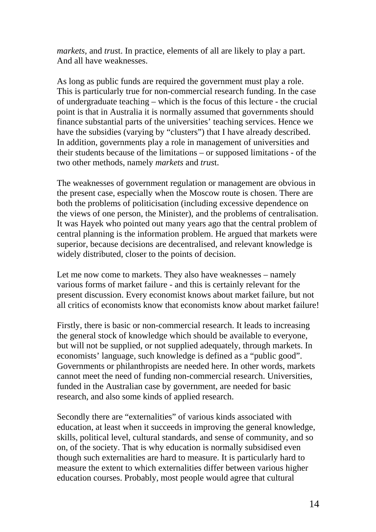*markets*, and *trus*t. In practice, elements of all are likely to play a part. And all have weaknesses.

As long as public funds are required the government must play a role. This is particularly true for non-commercial research funding. In the case of undergraduate teaching – which is the focus of this lecture - the crucial point is that in Australia it is normally assumed that governments should finance substantial parts of the universities' teaching services. Hence we have the subsidies (varying by "clusters") that I have already described. In addition, governments play a role in management of universities and their students because of the limitations – or supposed limitations - of the two other methods, namely *markets* and *trus*t.

The weaknesses of government regulation or management are obvious in the present case, especially when the Moscow route is chosen. There are both the problems of politicisation (including excessive dependence on the views of one person, the Minister), and the problems of centralisation. It was Hayek who pointed out many years ago that the central problem of central planning is the information problem. He argued that markets were superior, because decisions are decentralised, and relevant knowledge is widely distributed, closer to the points of decision.

Let me now come to markets. They also have weaknesses – namely various forms of market failure - and this is certainly relevant for the present discussion. Every economist knows about market failure, but not all critics of economists know that economists know about market failure!

Firstly, there is basic or non-commercial research. It leads to increasing the general stock of knowledge which should be available to everyone, but will not be supplied, or not supplied adequately, through markets. In economists' language, such knowledge is defined as a "public good". Governments or philanthropists are needed here. In other words, markets cannot meet the need of funding non-commercial research. Universities, funded in the Australian case by government, are needed for basic research, and also some kinds of applied research.

Secondly there are "externalities" of various kinds associated with education, at least when it succeeds in improving the general knowledge, skills, political level, cultural standards, and sense of community, and so on, of the society. That is why education is normally subsidised even though such externalities are hard to measure. It is particularly hard to measure the extent to which externalities differ between various higher education courses. Probably, most people would agree that cultural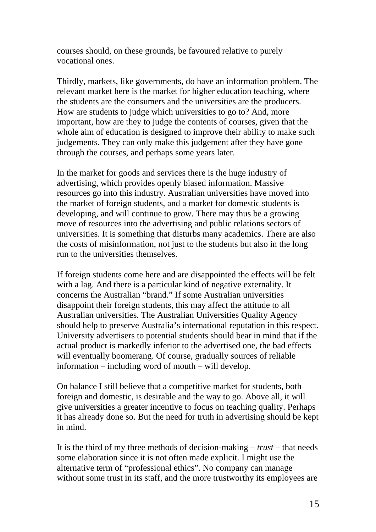courses should, on these grounds, be favoured relative to purely vocational ones.

Thirdly, markets, like governments, do have an information problem. The relevant market here is the market for higher education teaching, where the students are the consumers and the universities are the producers. How are students to judge which universities to go to? And, more important, how are they to judge the contents of courses, given that the whole aim of education is designed to improve their ability to make such judgements. They can only make this judgement after they have gone through the courses, and perhaps some years later.

In the market for goods and services there is the huge industry of advertising, which provides openly biased information. Massive resources go into this industry. Australian universities have moved into the market of foreign students, and a market for domestic students is developing, and will continue to grow. There may thus be a growing move of resources into the advertising and public relations sectors of universities. It is something that disturbs many academics. There are also the costs of misinformation, not just to the students but also in the long run to the universities themselves.

If foreign students come here and are disappointed the effects will be felt with a lag. And there is a particular kind of negative externality. It concerns the Australian "brand." If some Australian universities disappoint their foreign students, this may affect the attitude to all Australian universities. The Australian Universities Quality Agency should help to preserve Australia's international reputation in this respect. University advertisers to potential students should bear in mind that if the actual product is markedly inferior to the advertised one, the bad effects will eventually boomerang. Of course, gradually sources of reliable information – including word of mouth – will develop.

On balance I still believe that a competitive market for students, both foreign and domestic, is desirable and the way to go. Above all, it will give universities a greater incentive to focus on teaching quality. Perhaps it has already done so. But the need for truth in advertising should be kept in mind.

It is the third of my three methods of decision-making – *trust* – that needs some elaboration since it is not often made explicit. I might use the alternative term of "professional ethics". No company can manage without some trust in its staff, and the more trustworthy its employees are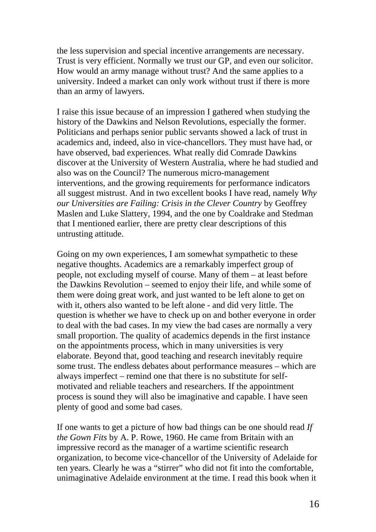the less supervision and special incentive arrangements are necessary. Trust is very efficient. Normally we trust our GP, and even our solicitor. How would an army manage without trust? And the same applies to a university. Indeed a market can only work without trust if there is more than an army of lawyers.

I raise this issue because of an impression I gathered when studying the history of the Dawkins and Nelson Revolutions, especially the former. Politicians and perhaps senior public servants showed a lack of trust in academics and, indeed, also in vice-chancellors. They must have had, or have observed, bad experiences. What really did Comrade Dawkins discover at the University of Western Australia, where he had studied and also was on the Council? The numerous micro-management interventions, and the growing requirements for performance indicators all suggest mistrust. And in two excellent books I have read, namely *Why our Universities are Failing: Crisis in the Clever Country* by Geoffrey Maslen and Luke Slattery, 1994, and the one by Coaldrake and Stedman that I mentioned earlier, there are pretty clear descriptions of this untrusting attitude.

Going on my own experiences, I am somewhat sympathetic to these negative thoughts. Academics are a remarkably imperfect group of people, not excluding myself of course. Many of them – at least before the Dawkins Revolution – seemed to enjoy their life, and while some of them were doing great work, and just wanted to be left alone to get on with it, others also wanted to be left alone - and did very little. The question is whether we have to check up on and bother everyone in order to deal with the bad cases. In my view the bad cases are normally a very small proportion. The quality of academics depends in the first instance on the appointments process, which in many universities is very elaborate. Beyond that, good teaching and research inevitably require some trust. The endless debates about performance measures – which are always imperfect – remind one that there is no substitute for selfmotivated and reliable teachers and researchers. If the appointment process is sound they will also be imaginative and capable. I have seen plenty of good and some bad cases.

If one wants to get a picture of how bad things can be one should read *If the Gown Fits* by A. P. Rowe, 1960. He came from Britain with an impressive record as the manager of a wartime scientific research organization, to become vice-chancellor of the University of Adelaide for ten years. Clearly he was a "stirrer" who did not fit into the comfortable, unimaginative Adelaide environment at the time. I read this book when it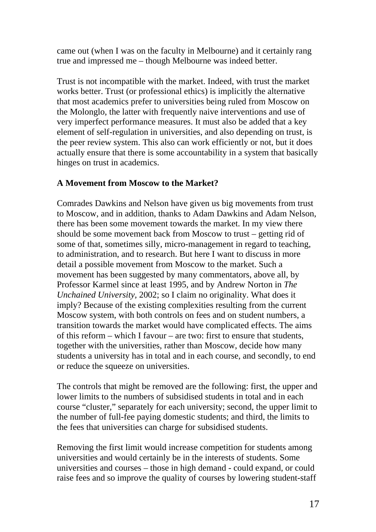came out (when I was on the faculty in Melbourne) and it certainly rang true and impressed me – though Melbourne was indeed better.

Trust is not incompatible with the market. Indeed, with trust the market works better. Trust (or professional ethics) is implicitly the alternative that most academics prefer to universities being ruled from Moscow on the Molonglo, the latter with frequently naive interventions and use of very imperfect performance measures. It must also be added that a key element of self-regulation in universities, and also depending on trust, is the peer review system. This also can work efficiently or not, but it does actually ensure that there is some accountability in a system that basically hinges on trust in academics.

### **A Movement from Moscow to the Market?**

Comrades Dawkins and Nelson have given us big movements from trust to Moscow, and in addition, thanks to Adam Dawkins and Adam Nelson, there has been some movement towards the market. In my view there should be some movement back from Moscow to trust – getting rid of some of that, sometimes silly, micro-management in regard to teaching, to administration, and to research. But here I want to discuss in more detail a possible movement from Moscow to the market. Such a movement has been suggested by many commentators, above all, by Professor Karmel since at least 1995, and by Andrew Norton in *The Unchained University,* 2002; so I claim no originality. What does it imply? Because of the existing complexities resulting from the current Moscow system, with both controls on fees and on student numbers, a transition towards the market would have complicated effects. The aims of this reform – which I favour – are two: first to ensure that students, together with the universities, rather than Moscow, decide how many students a university has in total and in each course, and secondly, to end or reduce the squeeze on universities.

The controls that might be removed are the following: first, the upper and lower limits to the numbers of subsidised students in total and in each course "cluster," separately for each university; second, the upper limit to the number of full-fee paying domestic students; and third, the limits to the fees that universities can charge for subsidised students.

Removing the first limit would increase competition for students among universities and would certainly be in the interests of students. Some universities and courses – those in high demand - could expand, or could raise fees and so improve the quality of courses by lowering student-staff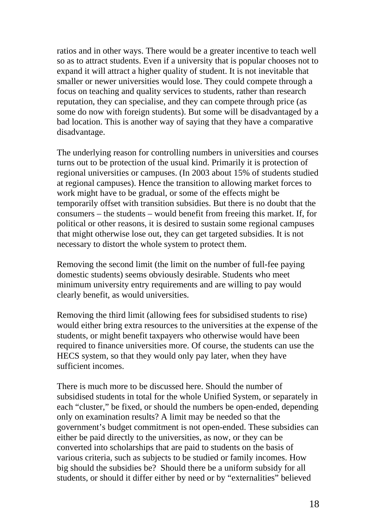ratios and in other ways. There would be a greater incentive to teach well so as to attract students. Even if a university that is popular chooses not to expand it will attract a higher quality of student. It is not inevitable that smaller or newer universities would lose. They could compete through a focus on teaching and quality services to students, rather than research reputation, they can specialise, and they can compete through price (as some do now with foreign students). But some will be disadvantaged by a bad location. This is another way of saying that they have a comparative disadvantage.

The underlying reason for controlling numbers in universities and courses turns out to be protection of the usual kind. Primarily it is protection of regional universities or campuses. (In 2003 about 15% of students studied at regional campuses). Hence the transition to allowing market forces to work might have to be gradual, or some of the effects might be temporarily offset with transition subsidies. But there is no doubt that the consumers – the students – would benefit from freeing this market. If, for political or other reasons, it is desired to sustain some regional campuses that might otherwise lose out, they can get targeted subsidies. It is not necessary to distort the whole system to protect them.

Removing the second limit (the limit on the number of full-fee paying domestic students) seems obviously desirable. Students who meet minimum university entry requirements and are willing to pay would clearly benefit, as would universities.

Removing the third limit (allowing fees for subsidised students to rise) would either bring extra resources to the universities at the expense of the students, or might benefit taxpayers who otherwise would have been required to finance universities more. Of course, the students can use the HECS system, so that they would only pay later, when they have sufficient incomes.

There is much more to be discussed here. Should the number of subsidised students in total for the whole Unified System, or separately in each "cluster," be fixed, or should the numbers be open-ended, depending only on examination results? A limit may be needed so that the government's budget commitment is not open-ended. These subsidies can either be paid directly to the universities, as now, or they can be converted into scholarships that are paid to students on the basis of various criteria, such as subjects to be studied or family incomes. How big should the subsidies be? Should there be a uniform subsidy for all students, or should it differ either by need or by "externalities" believed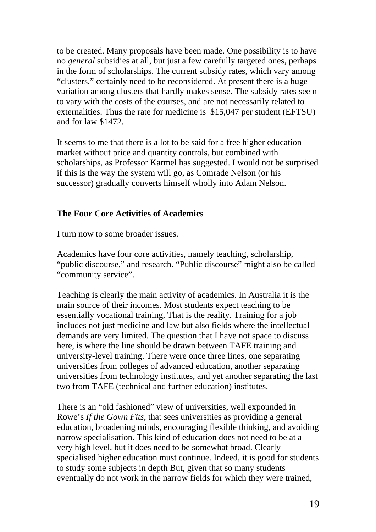to be created. Many proposals have been made. One possibility is to have no *general* subsidies at all, but just a few carefully targeted ones, perhaps in the form of scholarships. The current subsidy rates, which vary among "clusters," certainly need to be reconsidered. At present there is a huge variation among clusters that hardly makes sense. The subsidy rates seem to vary with the costs of the courses, and are not necessarily related to externalities. Thus the rate for medicine is \$15,047 per student (EFTSU) and for law \$1472.

It seems to me that there is a lot to be said for a free higher education market without price and quantity controls, but combined with scholarships, as Professor Karmel has suggested. I would not be surprised if this is the way the system will go, as Comrade Nelson (or his successor) gradually converts himself wholly into Adam Nelson.

### **The Four Core Activities of Academics**

I turn now to some broader issues.

Academics have four core activities, namely teaching, scholarship, "public discourse," and research. "Public discourse" might also be called "community service".

Teaching is clearly the main activity of academics. In Australia it is the main source of their incomes. Most students expect teaching to be essentially vocational training, That is the reality. Training for a job includes not just medicine and law but also fields where the intellectual demands are very limited. The question that I have not space to discuss here, is where the line should be drawn between TAFE training and university-level training. There were once three lines, one separating universities from colleges of advanced education, another separating universities from technology institutes, and yet another separating the last two from TAFE (technical and further education) institutes.

There is an "old fashioned" view of universities, well expounded in Rowe's *If the Gown Fits*, that sees universities as providing a general education, broadening minds, encouraging flexible thinking, and avoiding narrow specialisation. This kind of education does not need to be at a very high level, but it does need to be somewhat broad. Clearly specialised higher education must continue. Indeed, it is good for students to study some subjects in depth But, given that so many students eventually do not work in the narrow fields for which they were trained,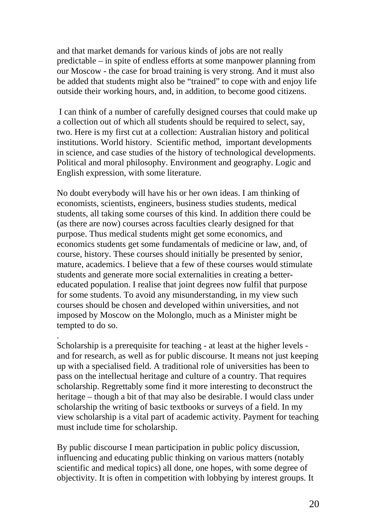and that market demands for various kinds of jobs are not really predictable – in spite of endless efforts at some manpower planning from our Moscow - the case for broad training is very strong. And it must also be added that students might also be "trained" to cope with and enjoy life outside their working hours, and, in addition, to become good citizens.

 I can think of a number of carefully designed courses that could make up a collection out of which all students should be required to select, say, two. Here is my first cut at a collection: Australian history and political institutions. World history. Scientific method, important developments in science, and case studies of the history of technological developments. Political and moral philosophy. Environment and geography. Logic and English expression, with some literature.

No doubt everybody will have his or her own ideas. I am thinking of economists, scientists, engineers, business studies students, medical students, all taking some courses of this kind. In addition there could be (as there are now) courses across faculties clearly designed for that purpose. Thus medical students might get some economics, and economics students get some fundamentals of medicine or law, and, of course, history. These courses should initially be presented by senior, mature, academics. I believe that a few of these courses would stimulate students and generate more social externalities in creating a bettereducated population. I realise that joint degrees now fulfil that purpose for some students. To avoid any misunderstanding, in my view such courses should be chosen and developed within universities, and not imposed by Moscow on the Molonglo, much as a Minister might be tempted to do so.

Scholarship is a prerequisite for teaching - at least at the higher levels and for research, as well as for public discourse. It means not just keeping up with a specialised field. A traditional role of universities has been to pass on the intellectual heritage and culture of a country. That requires scholarship. Regrettably some find it more interesting to deconstruct the heritage – though a bit of that may also be desirable. I would class under scholarship the writing of basic textbooks or surveys of a field. In my view scholarship is a vital part of academic activity. Payment for teaching must include time for scholarship.

.

By public discourse I mean participation in public policy discussion, influencing and educating public thinking on various matters (notably scientific and medical topics) all done, one hopes, with some degree of objectivity. It is often in competition with lobbying by interest groups. It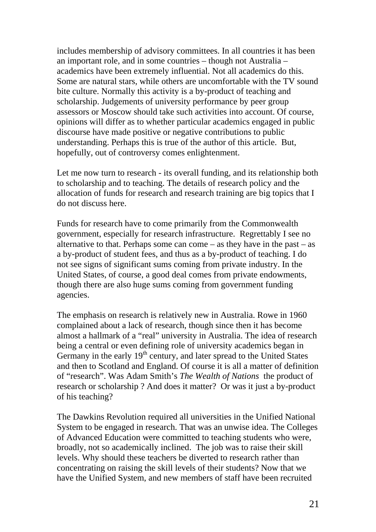includes membership of advisory committees. In all countries it has been an important role, and in some countries – though not Australia – academics have been extremely influential. Not all academics do this. Some are natural stars, while others are uncomfortable with the TV sound bite culture. Normally this activity is a by-product of teaching and scholarship. Judgements of university performance by peer group assessors or Moscow should take such activities into account. Of course, opinions will differ as to whether particular academics engaged in public discourse have made positive or negative contributions to public understanding. Perhaps this is true of the author of this article. But, hopefully, out of controversy comes enlightenment.

Let me now turn to research - its overall funding, and its relationship both to scholarship and to teaching. The details of research policy and the allocation of funds for research and research training are big topics that I do not discuss here.

Funds for research have to come primarily from the Commonwealth government, especially for research infrastructure. Regrettably I see no alternative to that. Perhaps some can come – as they have in the past – as a by-product of student fees, and thus as a by-product of teaching. I do not see signs of significant sums coming from private industry. In the United States, of course, a good deal comes from private endowments, though there are also huge sums coming from government funding agencies.

The emphasis on research is relatively new in Australia. Rowe in 1960 complained about a lack of research, though since then it has become almost a hallmark of a "real" university in Australia. The idea of research being a central or even defining role of university academics began in Germany in the early  $19<sup>th</sup>$  century, and later spread to the United States and then to Scotland and England. Of course it is all a matter of definition of "research". Was Adam Smith's *The Wealth of Nations* the product of research or scholarship ? And does it matter? Or was it just a by-product of his teaching?

The Dawkins Revolution required all universities in the Unified National System to be engaged in research. That was an unwise idea. The Colleges of Advanced Education were committed to teaching students who were, broadly, not so academically inclined. The job was to raise their skill levels. Why should these teachers be diverted to research rather than concentrating on raising the skill levels of their students? Now that we have the Unified System, and new members of staff have been recruited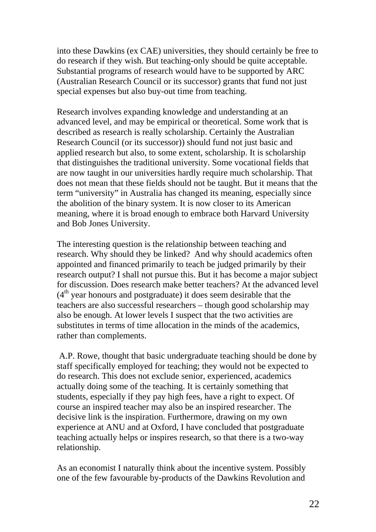into these Dawkins (ex CAE) universities, they should certainly be free to do research if they wish. But teaching-only should be quite acceptable. Substantial programs of research would have to be supported by ARC (Australian Research Council or its successor) grants that fund not just special expenses but also buy-out time from teaching.

Research involves expanding knowledge and understanding at an advanced level, and may be empirical or theoretical. Some work that is described as research is really scholarship. Certainly the Australian Research Council (or its successor)) should fund not just basic and applied research but also, to some extent, scholarship. It is scholarship that distinguishes the traditional university. Some vocational fields that are now taught in our universities hardly require much scholarship. That does not mean that these fields should not be taught. But it means that the term "university" in Australia has changed its meaning, especially since the abolition of the binary system. It is now closer to its American meaning, where it is broad enough to embrace both Harvard University and Bob Jones University.

The interesting question is the relationship between teaching and research. Why should they be linked? And why should academics often appointed and financed primarily to teach be judged primarily by their research output? I shall not pursue this. But it has become a major subject for discussion. Does research make better teachers? At the advanced level  $(4<sup>th</sup>$  year honours and postgraduate) it does seem desirable that the teachers are also successful researchers – though good scholarship may also be enough. At lower levels I suspect that the two activities are substitutes in terms of time allocation in the minds of the academics, rather than complements.

 A.P. Rowe, thought that basic undergraduate teaching should be done by staff specifically employed for teaching; they would not be expected to do research. This does not exclude senior, experienced, academics actually doing some of the teaching. It is certainly something that students, especially if they pay high fees, have a right to expect. Of course an inspired teacher may also be an inspired researcher. The decisive link is the inspiration. Furthermore, drawing on my own experience at ANU and at Oxford, I have concluded that postgraduate teaching actually helps or inspires research, so that there is a two-way relationship.

As an economist I naturally think about the incentive system. Possibly one of the few favourable by-products of the Dawkins Revolution and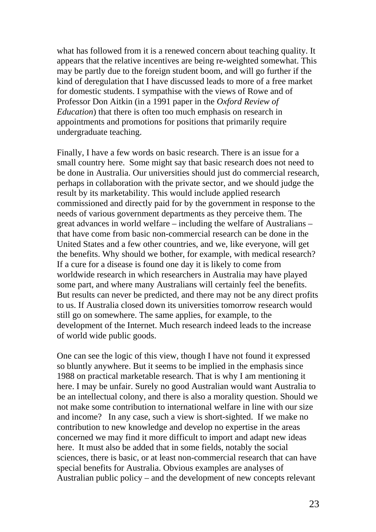what has followed from it is a renewed concern about teaching quality. It appears that the relative incentives are being re-weighted somewhat. This may be partly due to the foreign student boom, and will go further if the kind of deregulation that I have discussed leads to more of a free market for domestic students. I sympathise with the views of Rowe and of Professor Don Aitkin (in a 1991 paper in the *Oxford Review of Education*) that there is often too much emphasis on research in appointments and promotions for positions that primarily require undergraduate teaching.

Finally, I have a few words on basic research. There is an issue for a small country here. Some might say that basic research does not need to be done in Australia. Our universities should just do commercial research, perhaps in collaboration with the private sector, and we should judge the result by its marketability. This would include applied research commissioned and directly paid for by the government in response to the needs of various government departments as they perceive them. The great advances in world welfare – including the welfare of Australians – that have come from basic non-commercial research can be done in the United States and a few other countries, and we, like everyone, will get the benefits. Why should we bother, for example, with medical research? If a cure for a disease is found one day it is likely to come from worldwide research in which researchers in Australia may have played some part, and where many Australians will certainly feel the benefits. But results can never be predicted, and there may not be any direct profits to us. If Australia closed down its universities tomorrow research would still go on somewhere. The same applies, for example, to the development of the Internet. Much research indeed leads to the increase of world wide public goods.

One can see the logic of this view, though I have not found it expressed so bluntly anywhere. But it seems to be implied in the emphasis since 1988 on practical marketable research. That is why I am mentioning it here. I may be unfair. Surely no good Australian would want Australia to be an intellectual colony, and there is also a morality question. Should we not make some contribution to international welfare in line with our size and income? In any case, such a view is short-sighted. If we make no contribution to new knowledge and develop no expertise in the areas concerned we may find it more difficult to import and adapt new ideas here. It must also be added that in some fields, notably the social sciences, there is basic, or at least non-commercial research that can have special benefits for Australia. Obvious examples are analyses of Australian public policy – and the development of new concepts relevant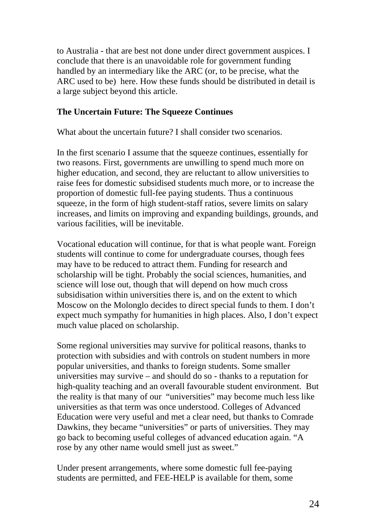to Australia - that are best not done under direct government auspices. I conclude that there is an unavoidable role for government funding handled by an intermediary like the ARC (or, to be precise, what the ARC used to be) here. How these funds should be distributed in detail is a large subject beyond this article.

### **The Uncertain Future: The Squeeze Continues**

What about the uncertain future? I shall consider two scenarios.

In the first scenario I assume that the squeeze continues, essentially for two reasons. First, governments are unwilling to spend much more on higher education, and second, they are reluctant to allow universities to raise fees for domestic subsidised students much more, or to increase the proportion of domestic full-fee paying students. Thus a continuous squeeze, in the form of high student-staff ratios, severe limits on salary increases, and limits on improving and expanding buildings, grounds, and various facilities, will be inevitable.

Vocational education will continue, for that is what people want. Foreign students will continue to come for undergraduate courses, though fees may have to be reduced to attract them. Funding for research and scholarship will be tight. Probably the social sciences, humanities, and science will lose out, though that will depend on how much cross subsidisation within universities there is, and on the extent to which Moscow on the Molonglo decides to direct special funds to them. I don't expect much sympathy for humanities in high places. Also, I don't expect much value placed on scholarship.

Some regional universities may survive for political reasons, thanks to protection with subsidies and with controls on student numbers in more popular universities, and thanks to foreign students. Some smaller universities may survive – and should do so - thanks to a reputation for high-quality teaching and an overall favourable student environment. But the reality is that many of our "universities" may become much less like universities as that term was once understood. Colleges of Advanced Education were very useful and met a clear need, but thanks to Comrade Dawkins, they became "universities" or parts of universities. They may go back to becoming useful colleges of advanced education again. "A rose by any other name would smell just as sweet."

Under present arrangements, where some domestic full fee-paying students are permitted, and FEE-HELP is available for them, some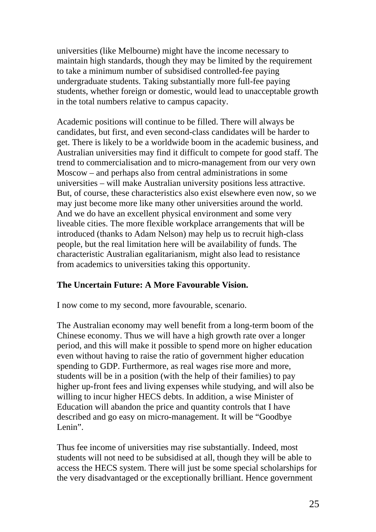universities (like Melbourne) might have the income necessary to maintain high standards, though they may be limited by the requirement to take a minimum number of subsidised controlled-fee paying undergraduate students. Taking substantially more full-fee paying students, whether foreign or domestic, would lead to unacceptable growth in the total numbers relative to campus capacity.

Academic positions will continue to be filled. There will always be candidates, but first, and even second-class candidates will be harder to get. There is likely to be a worldwide boom in the academic business, and Australian universities may find it difficult to compete for good staff. The trend to commercialisation and to micro-management from our very own Moscow – and perhaps also from central administrations in some universities – will make Australian university positions less attractive. But, of course, these characteristics also exist elsewhere even now, so we may just become more like many other universities around the world. And we do have an excellent physical environment and some very liveable cities. The more flexible workplace arrangements that will be introduced (thanks to Adam Nelson) may help us to recruit high-class people, but the real limitation here will be availability of funds. The characteristic Australian egalitarianism, might also lead to resistance from academics to universities taking this opportunity.

### **The Uncertain Future: A More Favourable Vision.**

I now come to my second, more favourable, scenario.

The Australian economy may well benefit from a long-term boom of the Chinese economy. Thus we will have a high growth rate over a longer period, and this will make it possible to spend more on higher education even without having to raise the ratio of government higher education spending to GDP. Furthermore, as real wages rise more and more, students will be in a position (with the help of their families) to pay higher up-front fees and living expenses while studying, and will also be willing to incur higher HECS debts. In addition, a wise Minister of Education will abandon the price and quantity controls that I have described and go easy on micro-management. It will be "Goodbye Lenin".

Thus fee income of universities may rise substantially. Indeed, most students will not need to be subsidised at all, though they will be able to access the HECS system. There will just be some special scholarships for the very disadvantaged or the exceptionally brilliant. Hence government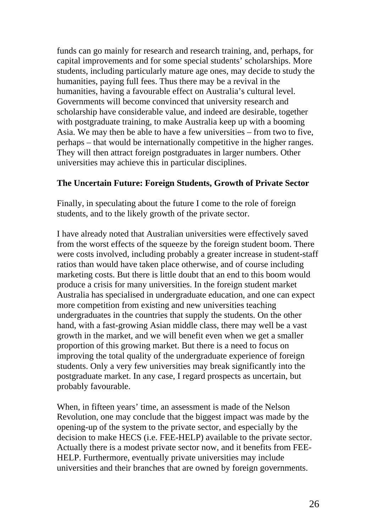funds can go mainly for research and research training, and, perhaps, for capital improvements and for some special students' scholarships. More students, including particularly mature age ones, may decide to study the humanities, paying full fees. Thus there may be a revival in the humanities, having a favourable effect on Australia's cultural level. Governments will become convinced that university research and scholarship have considerable value, and indeed are desirable, together with postgraduate training, to make Australia keep up with a booming Asia. We may then be able to have a few universities – from two to five, perhaps – that would be internationally competitive in the higher ranges. They will then attract foreign postgraduates in larger numbers. Other universities may achieve this in particular disciplines.

### **The Uncertain Future: Foreign Students, Growth of Private Sector**

Finally, in speculating about the future I come to the role of foreign students, and to the likely growth of the private sector.

I have already noted that Australian universities were effectively saved from the worst effects of the squeeze by the foreign student boom. There were costs involved, including probably a greater increase in student-staff ratios than would have taken place otherwise, and of course including marketing costs. But there is little doubt that an end to this boom would produce a crisis for many universities. In the foreign student market Australia has specialised in undergraduate education, and one can expect more competition from existing and new universities teaching undergraduates in the countries that supply the students. On the other hand, with a fast-growing Asian middle class, there may well be a vast growth in the market, and we will benefit even when we get a smaller proportion of this growing market. But there is a need to focus on improving the total quality of the undergraduate experience of foreign students. Only a very few universities may break significantly into the postgraduate market. In any case, I regard prospects as uncertain, but probably favourable.

When, in fifteen years' time, an assessment is made of the Nelson Revolution, one may conclude that the biggest impact was made by the opening-up of the system to the private sector, and especially by the decision to make HECS (i.e. FEE-HELP) available to the private sector. Actually there is a modest private sector now, and it benefits from FEE-HELP. Furthermore, eventually private universities may include universities and their branches that are owned by foreign governments.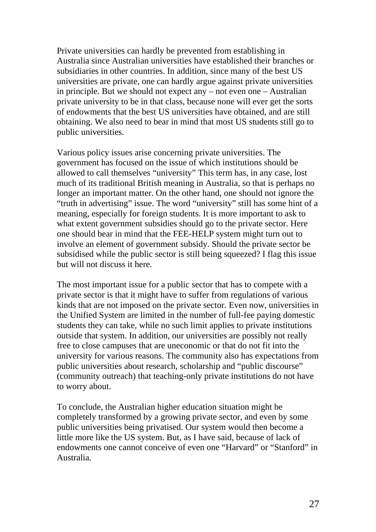Private universities can hardly be prevented from establishing in Australia since Australian universities have established their branches or subsidiaries in other countries. In addition, since many of the best US universities are private, one can hardly argue against private universities in principle. But we should not expect any – not even one – Australian private university to be in that class, because none will ever get the sorts of endowments that the best US universities have obtained, and are still obtaining. We also need to bear in mind that most US students still go to public universities.

Various policy issues arise concerning private universities. The government has focused on the issue of which institutions should be allowed to call themselves "university" This term has, in any case, lost much of its traditional British meaning in Australia, so that is perhaps no longer an important matter. On the other hand, one should not ignore the "truth in advertising" issue. The word "university" still has some hint of a meaning, especially for foreign students. It is more important to ask to what extent government subsidies should go to the private sector. Here one should bear in mind that the FEE-HELP system might turn out to involve an element of government subsidy. Should the private sector be subsidised while the public sector is still being squeezed? I flag this issue but will not discuss it here.

The most important issue for a public sector that has to compete with a private sector is that it might have to suffer from regulations of various kinds that are not imposed on the private sector. Even now, universities in the Unified System are limited in the number of full-fee paying domestic students they can take, while no such limit applies to private institutions outside that system. In addition, our universities are possibly not really free to close campuses that are uneconomic or that do not fit into the university for various reasons. The community also has expectations from public universities about research, scholarship and "public discourse" (community outreach) that teaching-only private institutions do not have to worry about.

To conclude, the Australian higher education situation might be completely transformed by a growing private sector, and even by some public universities being privatised. Our system would then become a little more like the US system. But, as I have said, because of lack of endowments one cannot conceive of even one "Harvard" or "Stanford" in Australia.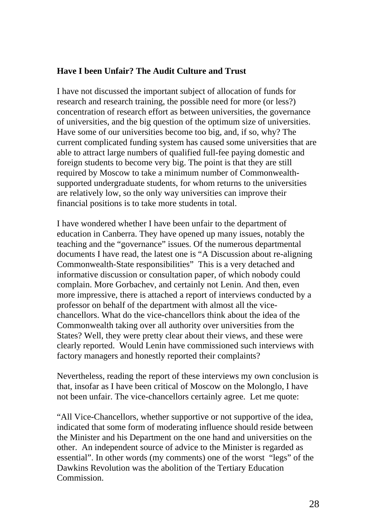### **Have I been Unfair? The Audit Culture and Trust**

I have not discussed the important subject of allocation of funds for research and research training, the possible need for more (or less?) concentration of research effort as between universities, the governance of universities, and the big question of the optimum size of universities. Have some of our universities become too big, and, if so, why? The current complicated funding system has caused some universities that are able to attract large numbers of qualified full-fee paying domestic and foreign students to become very big. The point is that they are still required by Moscow to take a minimum number of Commonwealthsupported undergraduate students, for whom returns to the universities are relatively low, so the only way universities can improve their financial positions is to take more students in total.

I have wondered whether I have been unfair to the department of education in Canberra. They have opened up many issues, notably the teaching and the "governance" issues. Of the numerous departmental documents I have read, the latest one is "A Discussion about re-aligning Commonwealth-State responsibilities" This is a very detached and informative discussion or consultation paper, of which nobody could complain. More Gorbachev, and certainly not Lenin. And then, even more impressive, there is attached a report of interviews conducted by a professor on behalf of the department with almost all the vicechancellors. What do the vice-chancellors think about the idea of the Commonwealth taking over all authority over universities from the States? Well, they were pretty clear about their views, and these were clearly reported. Would Lenin have commissioned such interviews with factory managers and honestly reported their complaints?

Nevertheless, reading the report of these interviews my own conclusion is that, insofar as I have been critical of Moscow on the Molonglo, I have not been unfair. The vice-chancellors certainly agree. Let me quote:

"All Vice-Chancellors, whether supportive or not supportive of the idea, indicated that some form of moderating influence should reside between the Minister and his Department on the one hand and universities on the other. An independent source of advice to the Minister is regarded as essential". In other words (my comments) one of the worst "legs" of the Dawkins Revolution was the abolition of the Tertiary Education Commission.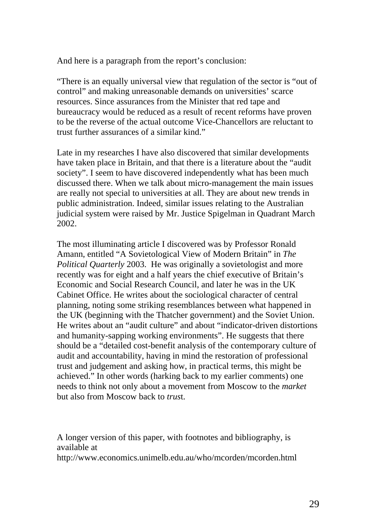And here is a paragraph from the report's conclusion:

"There is an equally universal view that regulation of the sector is "out of control" and making unreasonable demands on universities' scarce resources. Since assurances from the Minister that red tape and bureaucracy would be reduced as a result of recent reforms have proven to be the reverse of the actual outcome Vice-Chancellors are reluctant to trust further assurances of a similar kind."

Late in my researches I have also discovered that similar developments have taken place in Britain, and that there is a literature about the "audit society". I seem to have discovered independently what has been much discussed there. When we talk about micro-management the main issues are really not special to universities at all. They are about new trends in public administration. Indeed, similar issues relating to the Australian judicial system were raised by Mr. Justice Spigelman in Quadrant March 2002.

The most illuminating article I discovered was by Professor Ronald Amann, entitled "A Sovietological View of Modern Britain" in *The Political Quarterly* 2003. He was originally a sovietologist and more recently was for eight and a half years the chief executive of Britain's Economic and Social Research Council, and later he was in the UK Cabinet Office. He writes about the sociological character of central planning, noting some striking resemblances between what happened in the UK (beginning with the Thatcher government) and the Soviet Union. He writes about an "audit culture" and about "indicator-driven distortions and humanity-sapping working environments". He suggests that there should be a "detailed cost-benefit analysis of the contemporary culture of audit and accountability, having in mind the restoration of professional trust and judgement and asking how, in practical terms, this might be achieved." In other words (harking back to my earlier comments) one needs to think not only about a movement from Moscow to the *market* but also from Moscow back to *trus*t.

A longer version of this paper, with footnotes and bibliography, is available at

http://www.economics.unimelb.edu.au/who/mcorden/mcorden.html